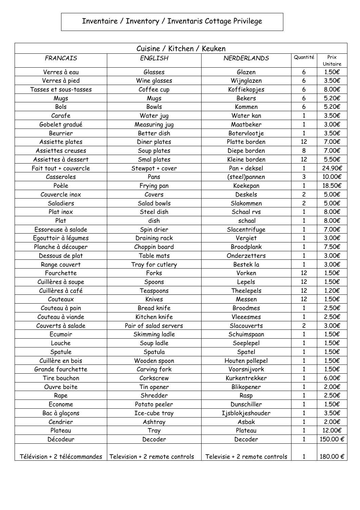## Inventaire / Inventory / Inventaris Cottage Privilege

| Cuisine / Kitchen / Keuken   |                                |                               |                         |                  |  |  |
|------------------------------|--------------------------------|-------------------------------|-------------------------|------------------|--|--|
| <b>FRANCAIS</b>              | <b>ENGLISH</b>                 | <b>NERDERLANDS</b>            | Quantité                | Prix<br>Unitaire |  |  |
| Verres à eau                 | Glasses                        | Glazen                        | 6                       | 1.50€            |  |  |
| Verres à pied                | Wine glasses                   | Wijnglazen                    | 6                       | 3.50€            |  |  |
| Tasses et sous-tasses        | Coffee cup                     | Koffiekopjes                  | 6                       | 8.00€            |  |  |
| Mugs                         | Mugs                           | <b>Bekers</b>                 | 6                       | 5.20€            |  |  |
| Bols                         | <b>Bowls</b>                   | Kommen                        | 6                       | 5.20€            |  |  |
| Carafe                       | Water jug                      | Water kan                     | $\mathbf{1}$            | 3.50€            |  |  |
| Gobelet gradué               | Measuring jug                  | Maatbeker                     | $\mathbf{1}$            | 3.00€            |  |  |
| Beurrier                     | Better dish                    | Botervlootje                  | $\mathbf{1}$            | 3.50€            |  |  |
| Assiette plates              | Diner plates                   | Platte borden                 | 12                      | 7.00€            |  |  |
| Assiettes creuses            | Soup plates                    | Diepe borden                  | 8                       | 7.00€            |  |  |
| Assiettes à dessert          | Smal plates                    | Kleine borden                 | 12                      | 5.50€            |  |  |
| Fait tout + couvercle        | Stewpot + cover                | Pan + deksel                  | $\mathbf{1}$            | 24.90€           |  |  |
| Casseroles                   | Pans                           | (steel)pannen                 | 3                       | 10.00€           |  |  |
| Poèle                        | Frying pan                     | Koekepan                      | $\mathbf{1}$            | 18.50€           |  |  |
| Couvercle inox               | Covers                         | Deskels                       | $\overline{c}$          | 5.00€            |  |  |
| Saladiers                    | Salad bowls                    | Slakommen                     | $\overline{c}$          | 5.00€            |  |  |
| Plat inox                    | Steel dish                     | Schaal rvs                    | $\mathbf{1}$            | 8.00€            |  |  |
| Plat                         | dish                           | schaal                        | $\mathbf{1}$            | 8.00€            |  |  |
| Essoreuse à salade           | Spin drier                     | Slacentrifuge                 | $\mathbf{1}$            | 7.00€            |  |  |
| Egouttoir à légumes          | Draining rack                  | Vergiet                       | $\mathbf{1}$            | 3.00€            |  |  |
| Planche à découper           | Choppin board                  | Broodplank                    | $\mathbf{1}$            | 7.50€            |  |  |
| Dessous de plat              | Table mats                     | Onderzetters                  | $\mathbf{1}$            | 3.00€            |  |  |
| Range couvert                | Tray for cutlery               | Bestek la                     | $\mathbf{1}$            | 3.00€            |  |  |
| Fourchette                   | Forks                          | Vorken                        | 12                      | 1.50€            |  |  |
| Cuillères à soupe            | Spoons                         | Lepels                        | 12                      | 1.50€            |  |  |
| Cuillères à café             | Teaspoons                      | Theelepels                    | 12                      | 1,20€            |  |  |
| Couteaux                     | Knives                         | Messen                        | 12                      | 1.50€            |  |  |
| Couteau à pain               | <b>Bread knife</b>             | <b>Broodmes</b>               | $\mathbf{1}$            | 2.50€            |  |  |
| Couteau à viande             | Kitchen knife                  | Vleeesmes                     | $\mathbf{1}$            | 2.50€            |  |  |
| Couverts à salade            | Pair of salad servers          | Slacouverts                   | $\overline{\mathsf{c}}$ | 3.00€            |  |  |
| Ecumoir                      | Skimming ladle                 | Schuimspaan                   | $\mathbf{1}$            | 1.50€            |  |  |
| Louche                       | Soup ladle                     | Soeplepel                     | $\mathbf{1}$            | 1.50€            |  |  |
| Spatule                      | Spatula                        | Spatel                        | $\mathbf{1}$            | 1.50€            |  |  |
| Cuillère en bois             | Wooden spoon                   | Houten pollepel               | $\mathbf{1}$            | 1.50€            |  |  |
| Grande fourchette            | Carving fork                   | Voorsnijvork                  | $\mathbf{1}$            | 1.50€            |  |  |
| Tire bouchon                 | Corkscrew                      | Kurkentrekker                 | $\mathbf{1}$            | 6.00€            |  |  |
| Ouvre boite                  | Tin opener                     | Blikopener                    | $\mathbf{1}$            | 2.00€            |  |  |
| Rape                         | Shredder                       | Rasp                          | 1                       | 2.50€            |  |  |
| Econome                      | Potato peeler                  | Dunschiller                   | $\mathbf{1}$            | 1.50€            |  |  |
| Bac à glaçons                | Ice-cube tray                  | Ijsblokjeshouder              | $\mathbf{1}$            | 3.50€            |  |  |
| Cendrier                     | Ashtray                        | Asbak                         | $\mathbf{1}$            | 2.00€            |  |  |
| Plateau                      | Tray                           | Plateau                       | $\mathbf{1}$            | 12.00€           |  |  |
| Décodeur                     | Decoder                        | Decoder                       | 1                       | 150.00€          |  |  |
|                              |                                |                               |                         |                  |  |  |
| Télévision + 2 télécommandes | Television + 2 remote controls | Televisie + 2 remote controls | 1                       | 180.00 €         |  |  |